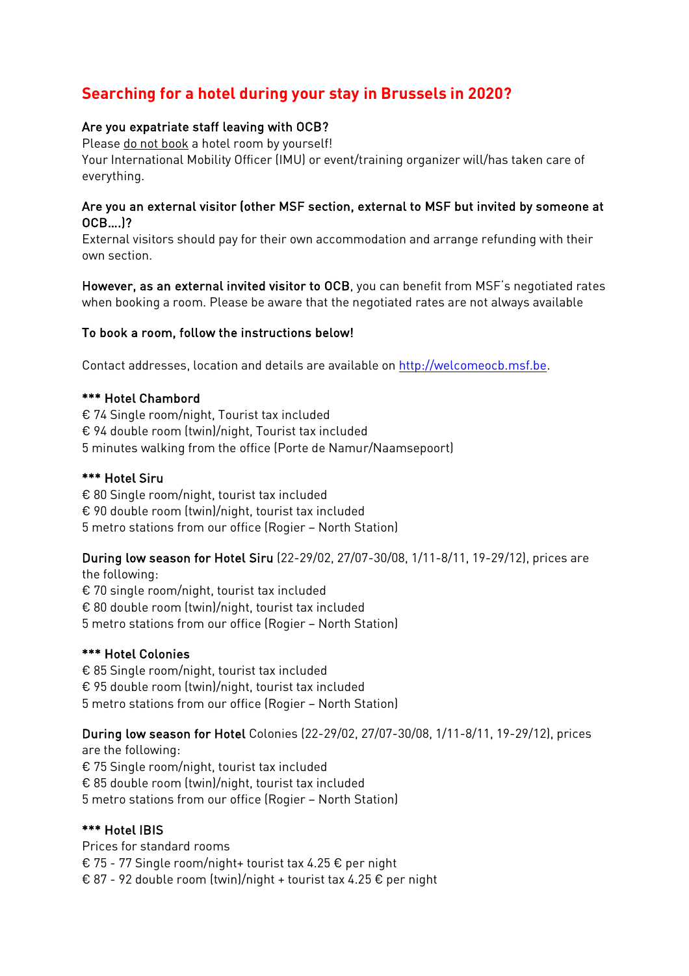# **Searching for a hotel during your stay in Brussels in 2020?**

## Are you expatriate staff leaving with OCB?

Please do not book a hotel room by yourself! Your International Mobility Officer (IMU) or event/training organizer will/has taken care of everything.

### Are you an external visitor (other MSF section, external to MSF but invited by someone at OCB….)?

External visitors should pay for their own accommodation and arrange refunding with their own section.

However, as an external invited visitor to OCB, you can benefit from MSF's negotiated rates when booking a room. Please be aware that the negotiated rates are not always available

## To book a room, follow the instructions below!

Contact addresses, location and details are available on http://welcomeocb.msf.be.

## \*\*\* Hotel Chambord

€ 74 Single room/night, Tourist tax included € 94 double room (twin)/night, Tourist tax included 5 minutes walking from the office (Porte de Namur/Naamsepoort)

## \*\*\* Hotel Siru

€ 80 Single room/night, tourist tax included € 90 double room (twin)/night, tourist tax included 5 metro stations from our office (Rogier – North Station)

# During low season for Hotel Siru (22-29/02, 27/07-30/08, 1/11-8/11, 19-29/12), prices are

the following: € 70 single room/night, tourist tax included € 80 double room (twin)/night, tourist tax included 5 metro stations from our office (Rogier – North Station)

## \*\*\* Hotel Colonies

€ 85 Single room/night, tourist tax included € 95 double room (twin)/night, tourist tax included 5 metro stations from our office (Rogier – North Station)

## During low season for Hotel Colonies (22-29/02, 27/07-30/08, 1/11-8/11, 19-29/12), prices

are the following: € 75 Single room/night, tourist tax included € 85 double room (twin)/night, tourist tax included 5 metro stations from our office (Rogier – North Station)

## \*\*\* Hotel IBIS

Prices for standard rooms € 75 - 77 Single room/night+ tourist tax 4.25 € per night € 87 - 92 double room (twin)/night + tourist tax 4.25 € per night